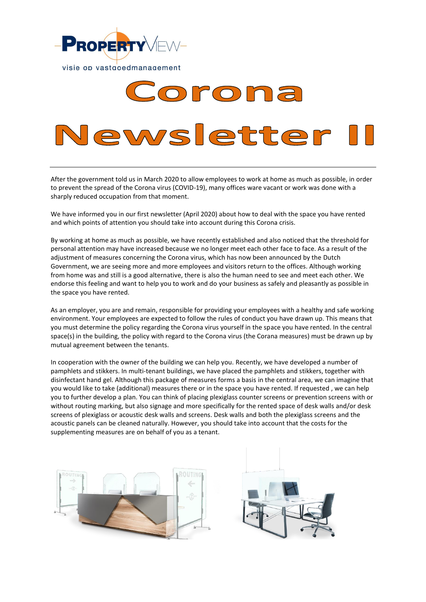

# Corona lewsletter

After the government told us in March 2020 to allow employees to work at home as much as possible, in order to prevent the spread of the Corona virus (COVID-19), many offices ware vacant or work was done with a sharply reduced occupation from that moment.

We have informed you in our first newsletter (April 2020) about how to deal with the space you have rented and which points of attention you should take into account during this Corona crisis.

By working at home as much as possible, we have recently established and also noticed that the threshold for personal attention may have increased because we no longer meet each other face to face. As a result of the adjustment of measures concerning the Corona virus, which has now been announced by the Dutch Government, we are seeing more and more employees and visitors return to the offices. Although working from home was and still is a good alternative, there is also the human need to see and meet each other. We endorse this feeling and want to help you to work and do your business as safely and pleasantly as possible in the space you have rented.

As an employer, you are and remain, responsible for providing your employees with a healthy and safe working environment. Your employees are expected to follow the rules of conduct you have drawn up. This means that you must determine the policy regarding the Corona virus yourself in the space you have rented. In the central space(s) in the building, the policy with regard to the Corona virus (the Corana measures) must be drawn up by mutual agreement between the tenants.

In cooperation with the owner of the building we can help you. Recently, we have developed a number of pamphlets and stikkers. In multi-tenant buildings, we have placed the pamphlets and stikkers, together with disinfectant hand gel. Although this package of measures forms a basis in the central area, we can imagine that you would like to take (additional) measures there or in the space you have rented. If requested , we can help you to further develop a plan. You can think of placing plexiglass counter screens or prevention screens with or without routing marking, but also signage and more specifically for the rented space of desk walls and/or desk screens of plexiglass or acoustic desk walls and screens. Desk walls and both the plexiglass screens and the acoustic panels can be cleaned naturally. However, you should take into account that the costs for the supplementing measures are on behalf of you as a tenant.

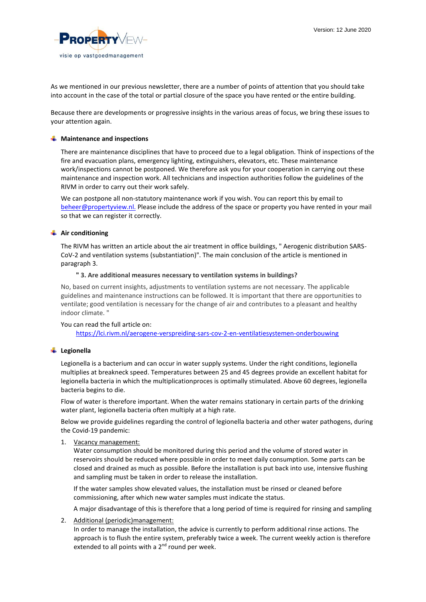

As we mentioned in our previous newsletter, there are a number of points of attention that you should take into account in the case of the total or partial closure of the space you have rented or the entire building.

Because there are developments or progressive insights in the various areas of focus, we bring these issues to your attention again.

#### $\frac{1}{\sqrt{1}}$  Maintenance and inspections

There are maintenance disciplines that have to proceed due to a legal obligation. Think of inspections of the fire and evacuation plans, emergency lighting, extinguishers, elevators, etc. These maintenance work/inspections cannot be postponed. We therefore ask you for your cooperation in carrying out these maintenance and inspection work. All technicians and inspection authorities follow the guidelines of the RIVM in order to carry out their work safely.

We can postpone all non-statutory maintenance work if you wish. You can report this by email to [beheer@propertyview.nl.](mailto:beheer@propertyview.nl) Please include the address of the space or property you have rented in your mail so that we can register it correctly.

# **Air conditioning**

The RIVM has written an article about the air treatment in office buildings, " Aerogenic distribution SARS-CoV-2 and ventilation systems (substantiation)". The main conclusion of the article is mentioned in paragraph 3.

#### **" 3. Are additional measures necessary to ventilation systems in buildings?**

No, based on current insights, adjustments to ventilation systems are not necessary. The applicable guidelines and maintenance instructions can be followed. It is important that there are opportunities to ventilate; good ventilation is necessary for the change of air and contributes to a pleasant and healthy indoor climate. "

#### You can read the full article on:

<https://lci.rivm.nl/aerogene-verspreiding-sars-cov-2-en-ventilatiesystemen-onderbouwing>

#### **Legionella**

Legionella is a bacterium and can occur in water supply systems. Under the right conditions, legionella multiplies at breakneck speed. Temperatures between 25 and 45 degrees provide an excellent habitat for legionella bacteria in which the multiplicationproces is optimally stimulated. Above 60 degrees, legionella bacteria begins to die.

Flow of water is therefore important. When the water remains stationary in certain parts of the drinking water plant, legionella bacteria often multiply at a high rate.

Below we provide guidelines regarding the control of legionella bacteria and other water pathogens, during the Covid-19 pandemic:

1. Vacancy management:

Water consumption should be monitored during this period and the volume of stored water in reservoirs should be reduced where possible in order to meet daily consumption. Some parts can be closed and drained as much as possible. Before the installation is put back into use, intensive flushing and sampling must be taken in order to release the installation.

If the water samples show elevated values, the installation must be rinsed or cleaned before commissioning, after which new water samples must indicate the status.

A major disadvantage of this is therefore that a long period of time is required for rinsing and sampling

2. Additional (periodic)management:

In order to manage the installation, the advice is currently to perform additional rinse actions. The approach is to flush the entire system, preferably twice a week. The current weekly action is therefore extended to all points with a 2<sup>nd</sup> round per week.